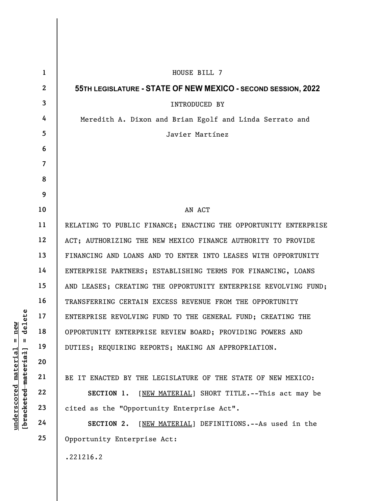UNDERTERPRISE REVOLVING<br>
19 18 OPPORTUNITY ENTERPRISE<br>
19 DUTIES; REQUIRING REF<br>
20 21 BE IT ENACTED BY THE<br>
22 SECTION 1. [<u>NEI</u><br>
23 cited as the "Opportune"<br>
24 SECTION 2. [<u>NE</u>I 1 2 3 4 5 6 7 8 9 10 11 12 13 14 15 16 17 18 19 20 21 22 23 24 25 HOUSE BILL 7 55TH LEGISLATURE - STATE OF NEW MEXICO - SECOND SESSION, 2022 INTRODUCED BY Meredith A. Dixon and Brian Egolf and Linda Serrato and Javier Martínez AN ACT RELATING TO PUBLIC FINANCE; ENACTING THE OPPORTUNITY ENTERPRISE ACT; AUTHORIZING THE NEW MEXICO FINANCE AUTHORITY TO PROVIDE FINANCING AND LOANS AND TO ENTER INTO LEASES WITH OPPORTUNITY ENTERPRISE PARTNERS; ESTABLISHING TERMS FOR FINANCING, LOANS AND LEASES; CREATING THE OPPORTUNITY ENTERPRISE REVOLVING FUND; TRANSFERRING CERTAIN EXCESS REVENUE FROM THE OPPORTUNITY ENTERPRISE REVOLVING FUND TO THE GENERAL FUND; CREATING THE OPPORTUNITY ENTERPRISE REVIEW BOARD; PROVIDING POWERS AND DUTIES; REQUIRING REPORTS; MAKING AN APPROPRIATION. BE IT ENACTED BY THE LEGISLATURE OF THE STATE OF NEW MEXICO: SECTION 1. [NEW MATERIAL] SHORT TITLE. -- This act may be cited as the "Opportunity Enterprise Act". SECTION 2. [NEW MATERIAL] DEFINITIONS. -- As used in the Opportunity Enterprise Act: .221216.2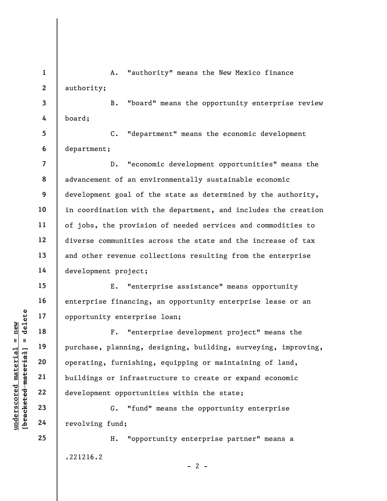1 2 A. "authority" means the New Mexico finance authority;

3 4 B. "board" means the opportunity enterprise review board;

5 6 C. "department" means the economic development department;

D. "economic development opportunities" means the advancement of an environmentally sustainable economic development goal of the state as determined by the authority, in coordination with the department, and includes the creation of jobs, the provision of needed services and commodities to diverse communities across the state and the increase of tax and other revenue collections resulting from the enterprise development project;

E. "enterprise assistance" means opportunity enterprise financing, an opportunity enterprise lease or an opportunity enterprise loan;

understand material external sports of the material extending of the space of the space of the space of the space of the space of the space of the space of the space of the space of the space of the space of the space of t F. "enterprise development project" means the purchase, planning, designing, building, surveying, improving, operating, furnishing, equipping or maintaining of land, buildings or infrastructure to create or expand economic development opportunities within the state;

G. "fund" means the opportunity enterprise revolving fund;

H. "opportunity enterprise partner" means a .221216.2

7

8

9

10

11

12

13

14

15

16

17

18

19

20

21

22

23

24

25

 $- 2 -$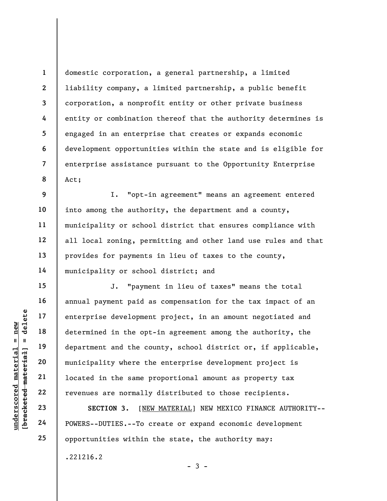1 2 3 4 5 6 7 8 domestic corporation, a general partnership, a limited liability company, a limited partnership, a public benefit corporation, a nonprofit entity or other private business entity or combination thereof that the authority determines is engaged in an enterprise that creates or expands economic development opportunities within the state and is eligible for enterprise assistance pursuant to the Opportunity Enterprise Act;

9 10 11 12 13 14 I. "opt-in agreement" means an agreement entered into among the authority, the department and a county, municipality or school district that ensures compliance with all local zoning, permitting and other land use rules and that provides for payments in lieu of taxes to the county, municipality or school district; and

understand the opter the same problem of the same problem and the communicipality where the same problem and the same problem and the same problem and the same problem and the same problem and the same problem and the same J. "payment in lieu of taxes" means the total annual payment paid as compensation for the tax impact of an enterprise development project, in an amount negotiated and determined in the opt-in agreement among the authority, the department and the county, school district or, if applicable, municipality where the enterprise development project is located in the same proportional amount as property tax revenues are normally distributed to those recipients.

SECTION 3. [NEW MATERIAL] NEW MEXICO FINANCE AUTHORITY-- POWERS--DUTIES.--To create or expand economic development opportunities within the state, the authority may:

.221216.2

15

16

17

18

19

20

21

22

23

24

25

 $-3 -$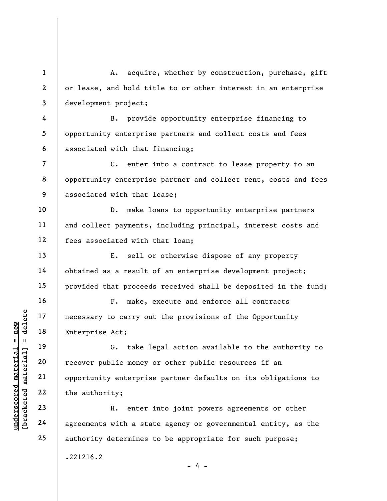A. acquire, whether by construction, purchase, gift or lease, and hold title to or other interest in an enterprise development project;

4 5 6 B. provide opportunity enterprise financing to opportunity enterprise partners and collect costs and fees associated with that financing;

7 8 9 C. enter into a contract to lease property to an opportunity enterprise partner and collect rent, costs and fees associated with that lease;

10 11 12 D. make loans to opportunity enterprise partners and collect payments, including principal, interest costs and fees associated with that loan;

E. sell or otherwise dispose of any property obtained as a result of an enterprise development project; provided that proceeds received shall be deposited in the fund;

F. make, execute and enforce all contracts necessary to carry out the provisions of the Opportunity Enterprise Act;

underscored material material material entity;<br>
underscored material material material material control of the authority;<br>
underscored material material material control of the authority;<br>
underscored material material mat G. take legal action available to the authority to recover public money or other public resources if an opportunity enterprise partner defaults on its obligations to the authority;

H. enter into joint powers agreements or other agreements with a state agency or governmental entity, as the authority determines to be appropriate for such purpose;

- 4 -

.221216.2

1

2

3

13

14

15

16

17

18

19

20

21

22

23

24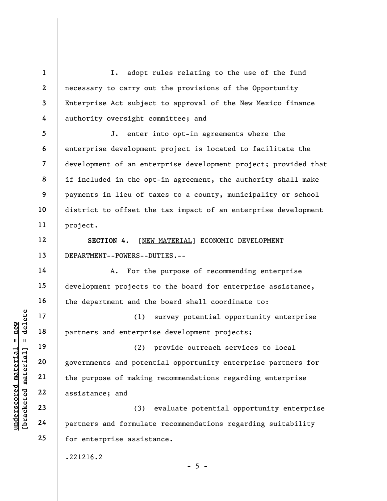1 2 3 4 I. adopt rules relating to the use of the fund necessary to carry out the provisions of the Opportunity Enterprise Act subject to approval of the New Mexico finance authority oversight committee; and

5 6 7 8 9 10 11 J. enter into opt-in agreements where the enterprise development project is located to facilitate the development of an enterprise development project; provided that if included in the opt-in agreement, the authority shall make payments in lieu of taxes to a county, municipality or school district to offset the tax impact of an enterprise development project.

SECTION 4. [NEW MATERIAL] ECONOMIC DEVELOPMENT DEPARTMENT--POWERS--DUTIES.--

 A. For the purpose of recommending enterprise development projects to the board for enterprise assistance, the department and the board shall coordinate to:

(1) survey potential opportunity enterprise partners and enterprise development projects;

understand on terprince and the partners and enterprince of making<br>diagonal partners and enterprince (2)<br>governments and poten<br>the purpose of making<br>assistance; and<br>diagonal 23<br>governments and poten<br>assistance; and<br> $24$ <br>pa (2) provide outreach services to local governments and potential opportunity enterprise partners for the purpose of making recommendations regarding enterprise assistance; and

(3) evaluate potential opportunity enterprise partners and formulate recommendations regarding suitability for enterprise assistance.

.221216.2

12

13

14

15

16

17

18

19

20

21

22

23

24

25

 $- 5 -$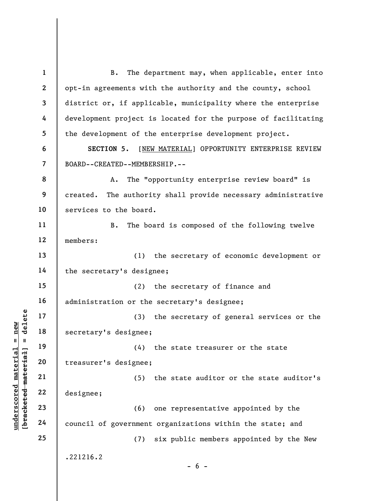underscored material = new [bracketed material] = delete 1 2 3 4 5 6 7 8 9 10 11 12 13 14 15 16 17 18 19 20 21 22 23 24 25 B. The department may, when applicable, enter into opt-in agreements with the authority and the county, school district or, if applicable, municipality where the enterprise development project is located for the purpose of facilitating the development of the enterprise development project. SECTION 5. [NEW MATERIAL] OPPORTUNITY ENTERPRISE REVIEW BOARD--CREATED--MEMBERSHIP.-- A. The "opportunity enterprise review board" is created. The authority shall provide necessary administrative services to the board. B. The board is composed of the following twelve members: (1) the secretary of economic development or the secretary's designee; (2) the secretary of finance and administration or the secretary's designee; (3) the secretary of general services or the secretary's designee; (4) the state treasurer or the state treasurer's designee; (5) the state auditor or the state auditor's designee; (6) one representative appointed by the council of government organizations within the state; and (7) six public members appointed by the New .221216.2  $- 6 -$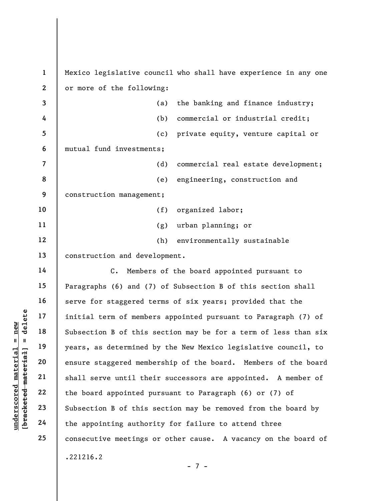|                      | $\mathbf{1}$            | Mexico legislative council who shall have experience in any one |
|----------------------|-------------------------|-----------------------------------------------------------------|
|                      | $\overline{2}$          | or more of the following:                                       |
|                      | 3                       | the banking and finance industry;<br>(a)                        |
|                      | 4                       | commercial or industrial credit;<br>(b)                         |
|                      | 5                       | private equity, venture capital or<br>(c)                       |
|                      | 6                       | mutual fund investments;                                        |
|                      | $\overline{\mathbf{z}}$ | (d)<br>commercial real estate development;                      |
|                      | 8                       | engineering, construction and<br>(e)                            |
|                      | 9                       | construction management;                                        |
|                      | 10                      | (f)<br>organized labor;                                         |
|                      | 11                      | urban planning; or<br>(g)                                       |
|                      | 12                      | (h)<br>environmentally sustainable                              |
|                      | 13                      | construction and development.                                   |
|                      | 14                      | $\mathsf{C}$ .<br>Members of the board appointed pursuant to    |
|                      | 15                      | Paragraphs (6) and (7) of Subsection B of this section shall    |
|                      | 16                      | serve for staggered terms of six years; provided that the       |
| delete               | 17                      | initial term of members appointed pursuant to Paragraph (7) of  |
| new                  | 18                      | Subsection B of this section may be for a term of less than six |
| H<br>H               | 19                      | years, as determined by the New Mexico legislative council, to  |
| material<br>material | 20                      | ensure staggered membership of the board. Members of the board  |
|                      | 21                      | shall serve until their successors are appointed. A member of   |
| $underscore$         | 22                      | the board appointed pursuant to Paragraph (6) or (7) of         |
| [bracketed           | 23                      | Subsection B of this section may be removed from the board by   |
|                      | 24                      | the appointing authority for failure to attend three            |
|                      | 25                      | consecutive meetings or other cause. A vacancy on the board of  |
|                      |                         | .221216.2                                                       |
|                      |                         |                                                                 |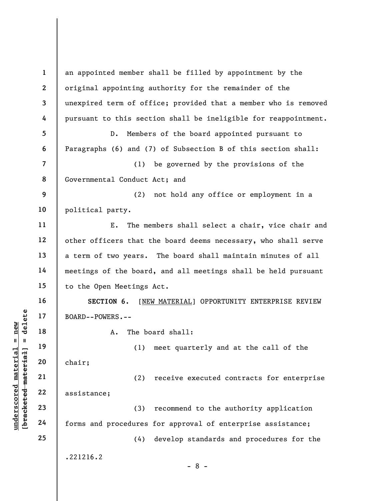understand material material material material material material material material (1)<br>
definition of the set of the set of the set of the set of the set of the set of the set of the set of the set of the set of the set of 1 2 3 4 5 6 7 8 9 10 11 12 13 14 15 16 17 18 19 20 21 22 23 24 25 an appointed member shall be filled by appointment by the original appointing authority for the remainder of the unexpired term of office; provided that a member who is removed pursuant to this section shall be ineligible for reappointment. D. Members of the board appointed pursuant to Paragraphs (6) and (7) of Subsection B of this section shall: (1) be governed by the provisions of the Governmental Conduct Act; and (2) not hold any office or employment in a political party. E. The members shall select a chair, vice chair and other officers that the board deems necessary, who shall serve a term of two years. The board shall maintain minutes of all meetings of the board, and all meetings shall be held pursuant to the Open Meetings Act. SECTION 6. [NEW MATERIAL] OPPORTUNITY ENTERPRISE REVIEW BOARD--POWERS.-- A. The board shall: (1) meet quarterly and at the call of the chair; (2) receive executed contracts for enterprise assistance; (3) recommend to the authority application forms and procedures for approval of enterprise assistance; (4) develop standards and procedures for the .221216.2 - 8 -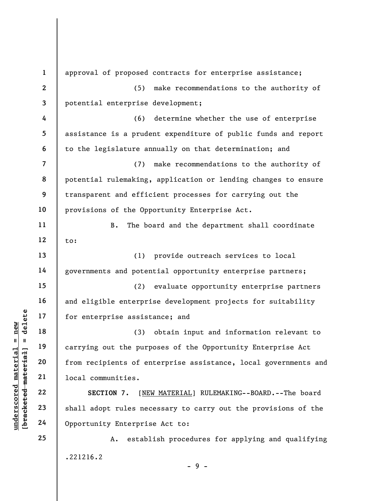understand material material state of enterprise assist<br>  $\begin{array}{c|c|c|c} \mathbf{u} & \mathbf{u} & \mathbf{u} & \mathbf{u} & \mathbf{u} & \mathbf{u} & \mathbf{u} & \mathbf{u} & \mathbf{u} & \mathbf{u} & \mathbf{u} & \mathbf{u} & \mathbf{u} & \mathbf{u} & \mathbf{u} & \mathbf{u} & \mathbf{u} & \mathbf{u} & \mathbf{u} & \mathbf{u} & \mathbf{u} & \mathbf{$ 1 2 3 4 5 6 7 8 9 10 11 12 13 14 15 16 17 18 19 20 21 22 23 24 25 approval of proposed contracts for enterprise assistance; (5) make recommendations to the authority of potential enterprise development; (6) determine whether the use of enterprise assistance is a prudent expenditure of public funds and report to the legislature annually on that determination; and (7) make recommendations to the authority of potential rulemaking, application or lending changes to ensure transparent and efficient processes for carrying out the provisions of the Opportunity Enterprise Act. B. The board and the department shall coordinate to: (1) provide outreach services to local governments and potential opportunity enterprise partners; (2) evaluate opportunity enterprise partners and eligible enterprise development projects for suitability for enterprise assistance; and (3) obtain input and information relevant to carrying out the purposes of the Opportunity Enterprise Act from recipients of enterprise assistance, local governments and local communities. SECTION 7. [NEW MATERIAL] RULEMAKING--BOARD.--The board shall adopt rules necessary to carry out the provisions of the Opportunity Enterprise Act to: A. establish procedures for applying and qualifying .221216.2

 $-9 -$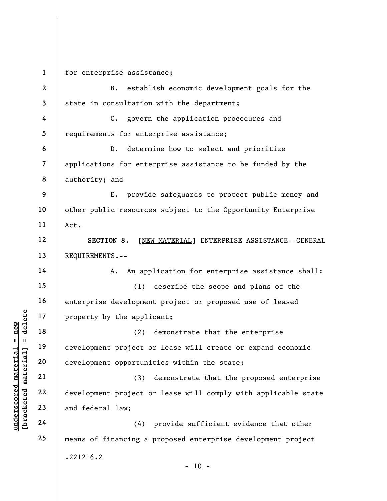underscored material material and federal law;<br>
underscored material material control development opportuni<br>
underscored material control development opportuni<br>
21<br>
underscored material development project c<br>
23<br>
underscor 1 2 3 4 5 6 7 8 9 10 11 12 13 14 15 16 17 18 19 20 21 22 23 24 25 for enterprise assistance; B. establish economic development goals for the state in consultation with the department; C. govern the application procedures and requirements for enterprise assistance; D. determine how to select and prioritize applications for enterprise assistance to be funded by the authority; and E. provide safeguards to protect public money and other public resources subject to the Opportunity Enterprise Act. SECTION 8. [NEW MATERIAL] ENTERPRISE ASSISTANCE--GENERAL REQUIREMENTS.-- A. An application for enterprise assistance shall: (1) describe the scope and plans of the enterprise development project or proposed use of leased property by the applicant; (2) demonstrate that the enterprise development project or lease will create or expand economic development opportunities within the state; (3) demonstrate that the proposed enterprise development project or lease will comply with applicable state and federal law; (4) provide sufficient evidence that other means of financing a proposed enterprise development project .221216.2

 $- 10 -$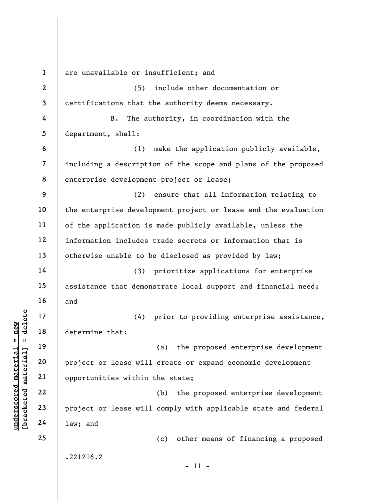understand material and the same of the same of the same of the same will<br>determine that:<br>and the same will<br>be same of the same will<br>also also also also also within<br>also also also also also will<br>also also also also also wi 1 2 3 4 5 6 7 8 9 10 11 12 13 14 15 16 17 18 19 20 21 22 23 24 25 are unavailable or insufficient; and (5) include other documentation or certifications that the authority deems necessary. B. The authority, in coordination with the department, shall: (1) make the application publicly available, including a description of the scope and plans of the proposed enterprise development project or lease; (2) ensure that all information relating to the enterprise development project or lease and the evaluation of the application is made publicly available, unless the information includes trade secrets or information that is otherwise unable to be disclosed as provided by law; (3) prioritize applications for enterprise assistance that demonstrate local support and financial need; and (4) prior to providing enterprise assistance, determine that: (a) the proposed enterprise development project or lease will create or expand economic development opportunities within the state; (b) the proposed enterprise development project or lease will comply with applicable state and federal law; and (c) other means of financing a proposed .221216.2 - 11 -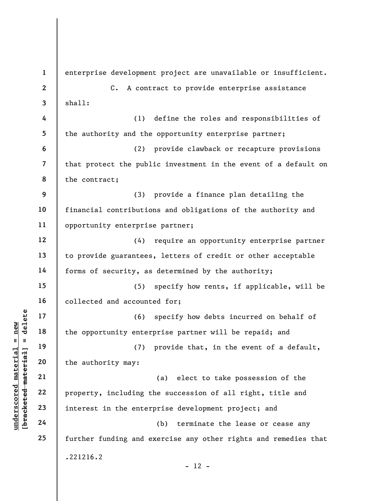underscored material material material material material contractions of the opportunity enter<br>discussed material control of the authority may:<br>all the authority may:<br>all the authority may:<br>22<br>interest in the enter<br>discuss 1 2 3 4 5 6 7 8 9 10 11 12 13 14 15 16 17 18 19 20 21 22 23 24 25 enterprise development project are unavailable or insufficient. C. A contract to provide enterprise assistance shall: (1) define the roles and responsibilities of the authority and the opportunity enterprise partner; (2) provide clawback or recapture provisions that protect the public investment in the event of a default on the contract; (3) provide a finance plan detailing the financial contributions and obligations of the authority and opportunity enterprise partner; (4) require an opportunity enterprise partner to provide guarantees, letters of credit or other acceptable forms of security, as determined by the authority; (5) specify how rents, if applicable, will be collected and accounted for; (6) specify how debts incurred on behalf of the opportunity enterprise partner will be repaid; and (7) provide that, in the event of a default, the authority may: (a) elect to take possession of the property, including the succession of all right, title and interest in the enterprise development project; and (b) terminate the lease or cease any further funding and exercise any other rights and remedies that .221216.2  $- 12 -$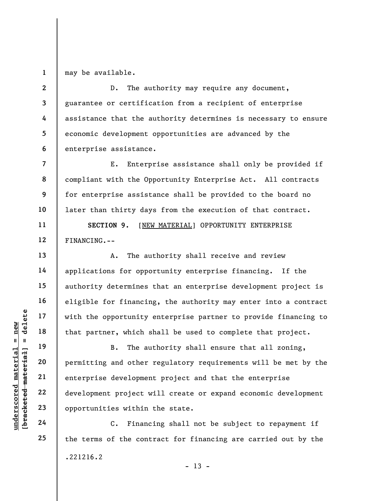1 may be available.

2 3 4 5 6 D. The authority may require any document, guarantee or certification from a recipient of enterprise assistance that the authority determines is necessary to ensure economic development opportunities are advanced by the enterprise assistance.

E. Enterprise assistance shall only be provided if compliant with the Opportunity Enterprise Act. All contracts for enterprise assistance shall be provided to the board no later than thirty days from the execution of that contract.

SECTION 9. [NEW MATERIAL] OPPORTUNITY ENTERPRISE FINANCING.--

A. The authority shall receive and review applications for opportunity enterprise financing. If the authority determines that an enterprise development project is eligible for financing, the authority may enter into a contract with the opportunity enterprise partner to provide financing to that partner, which shall be used to complete that project.

underscored material = new [bracketed material] = delete B. The authority shall ensure that all zoning, permitting and other regulatory requirements will be met by the enterprise development project and that the enterprise development project will create or expand economic development opportunities within the state.

C. Financing shall not be subject to repayment if the terms of the contract for financing are carried out by the .221216.2  $- 13 -$ 

7

8

9

10

11

12

13

14

15

16

17

18

19

20

21

22

23

24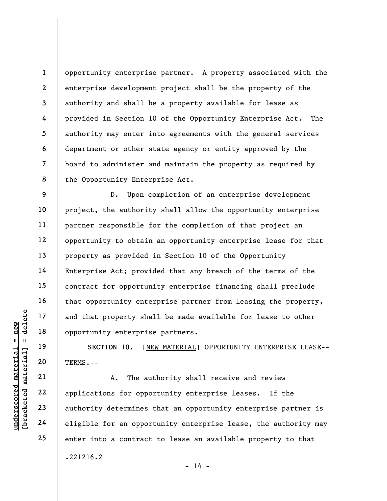1 2 3 4 5 6 7 8 opportunity enterprise partner. A property associated with the enterprise development project shall be the property of the authority and shall be a property available for lease as provided in Section 10 of the Opportunity Enterprise Act. The authority may enter into agreements with the general services department or other state agency or entity approved by the board to administer and maintain the property as required by the Opportunity Enterprise Act.

9 10 11 12 13 14 15 16 17 18 D. Upon completion of an enterprise development project, the authority shall allow the opportunity enterprise partner responsible for the completion of that project an opportunity to obtain an opportunity enterprise lease for that property as provided in Section 10 of the Opportunity Enterprise Act; provided that any breach of the terms of the contract for opportunity enterprise financing shall preclude that opportunity enterprise partner from leasing the property, and that property shall be made available for lease to other opportunity enterprise partners.

SECTION 10. [NEW MATERIAL] OPPORTUNITY ENTERPRISE LEASE-- TERMS.--

underscored material and that property shaped and that property shaped material opportunity enterprise opportunity enterprise<br>section 10. [M]<br>deleted the material opportunity section 10. [M]<br> $\begin{array}{l|l} \hline 19 & \text{SECTION 10.} & \text{[$ A. The authority shall receive and review applications for opportunity enterprise leases. If the authority determines that an opportunity enterprise partner is eligible for an opportunity enterprise lease, the authority may enter into a contract to lease an available property to that

 $- 14 -$ 

.221216.2

19

20

21

22

23

24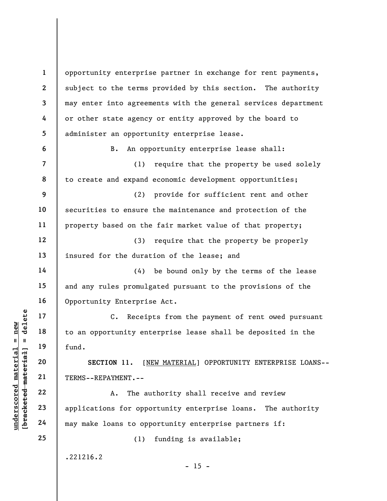UN EXECTION 11. [N]<br>
understand material fund.<br>
TERMS--REPAYMENT.--<br>
22<br>
understand material materials of opposite<br>
24 applications for opposite<br>
24 applications for opposite<br>
24 applications for opposite<br>
24 applications 1 2 3 4 5 6 7 8 9 10 11 12 13 14 15 16 17 18 19 20 21 22 23 24 25 opportunity enterprise partner in exchange for rent payments, subject to the terms provided by this section. The authority may enter into agreements with the general services department or other state agency or entity approved by the board to administer an opportunity enterprise lease. B. An opportunity enterprise lease shall: (1) require that the property be used solely to create and expand economic development opportunities; (2) provide for sufficient rent and other securities to ensure the maintenance and protection of the property based on the fair market value of that property; (3) require that the property be properly insured for the duration of the lease; and (4) be bound only by the terms of the lease and any rules promulgated pursuant to the provisions of the Opportunity Enterprise Act. C. Receipts from the payment of rent owed pursuant to an opportunity enterprise lease shall be deposited in the fund. SECTION 11. [NEW MATERIAL] OPPORTUNITY ENTERPRISE LOANS-- TERMS--REPAYMENT.-- A. The authority shall receive and review applications for opportunity enterprise loans. The authority may make loans to opportunity enterprise partners if: (1) funding is available; .221216.2

 $- 15 -$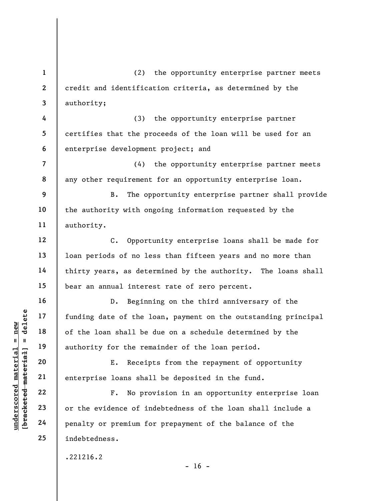underscored material = new [bracketed material] = delete 1 2 3 4 5 6 7 8 9 10 11 12 13 14 15 16 17 18 19 20 21 22 23 24 25 (2) the opportunity enterprise partner meets credit and identification criteria, as determined by the authority; (3) the opportunity enterprise partner certifies that the proceeds of the loan will be used for an enterprise development project; and (4) the opportunity enterprise partner meets any other requirement for an opportunity enterprise loan. B. The opportunity enterprise partner shall provide the authority with ongoing information requested by the authority. C. Opportunity enterprise loans shall be made for loan periods of no less than fifteen years and no more than thirty years, as determined by the authority. The loans shall bear an annual interest rate of zero percent. D. Beginning on the third anniversary of the funding date of the loan, payment on the outstanding principal of the loan shall be due on a schedule determined by the authority for the remainder of the loan period. E. Receipts from the repayment of opportunity enterprise loans shall be deposited in the fund. F. No provision in an opportunity enterprise loan or the evidence of indebtedness of the loan shall include a penalty or premium for prepayment of the balance of the indebtedness. .221216.2

 $- 16 -$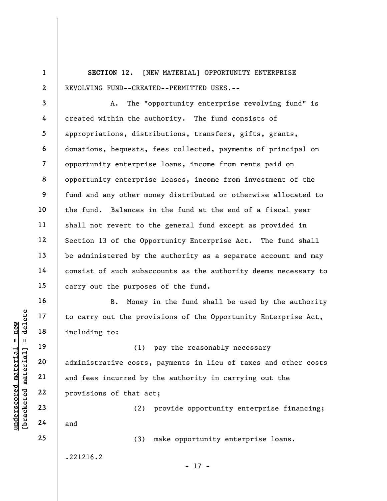1 2 SECTION 12. [NEW MATERIAL] OPPORTUNITY ENTERPRISE REVOLVING FUND--CREATED--PERMITTED USES.--

3 4 5 6 7 8 9 10 11 12 13 14 15 A. The "opportunity enterprise revolving fund" is created within the authority. The fund consists of appropriations, distributions, transfers, gifts, grants, donations, bequests, fees collected, payments of principal on opportunity enterprise loans, income from rents paid on opportunity enterprise leases, income from investment of the fund and any other money distributed or otherwise allocated to the fund. Balances in the fund at the end of a fiscal year shall not revert to the general fund except as provided in Section 13 of the Opportunity Enterprise Act. The fund shall be administered by the authority as a separate account and may consist of such subaccounts as the authority deems necessary to carry out the purposes of the fund.

B. Money in the fund shall be used by the authority to carry out the provisions of the Opportunity Enterprise Act, including to:

understand material material including to:<br>  $\begin{bmatrix}\n1 & 1 & 19 \\
0 & 1 & 19 \\
0 & 20 \\
0 & 0 & 21 \\
0 & 0 & 22 \\
0 & 0 & 23 \\
0 & 0 & 24\n\end{bmatrix}$  and fees incurred by<br>  $\begin{bmatrix}\n22 \\
23 \\
24\n\end{bmatrix}$  and (1) pay the reasonably necessary administrative costs, payments in lieu of taxes and other costs and fees incurred by the authority in carrying out the provisions of that act;

(2) provide opportunity enterprise financing; and

(3) make opportunity enterprise loans.

.221216.2

16

17

18

19

20

21

22

23

24

25

- 17 -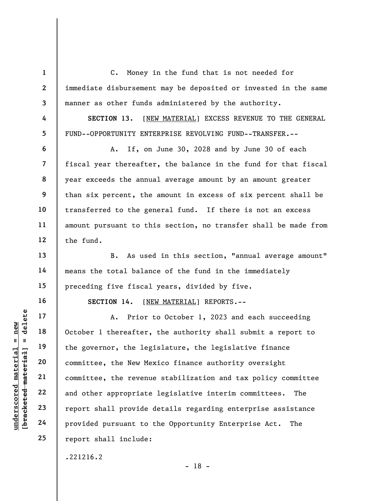1 2 3 4 5 6 7 8 9 10 11 12 13 C. Money in the fund that is not needed for immediate disbursement may be deposited or invested in the same manner as other funds administered by the authority. SECTION 13. [NEW MATERIAL] EXCESS REVENUE TO THE GENERAL FUND--OPPORTUNITY ENTERPRISE REVOLVING FUND--TRANSFER.-- A. If, on June 30, 2028 and by June 30 of each fiscal year thereafter, the balance in the fund for that fiscal year exceeds the annual average amount by an amount greater than six percent, the amount in excess of six percent shall be transferred to the general fund. If there is not an excess amount pursuant to this section, no transfer shall be made from the fund. B. As used in this section, "annual average amount"

means the total balance of the fund in the immediately preceding five fiscal years, divided by five.

SECTION 14. [NEW MATERIAL] REPORTS.--

understand material material provided pursuant to<br>
understand material of the governor, the leg<br>
edge material committee, the New Me<br>
committee, the New Me<br>
committee, the revenue<br>
22<br>
and other appropriate<br>
24<br>
provided p A. Prior to October 1, 2023 and each succeeding October 1 thereafter, the authority shall submit a report to the governor, the legislature, the legislative finance committee, the New Mexico finance authority oversight committee, the revenue stabilization and tax policy committee and other appropriate legislative interim committees. The report shall provide details regarding enterprise assistance provided pursuant to the Opportunity Enterprise Act. The report shall include:

.221216.2

14

15

16

17

18

19

20

21

22

23

24

25

- 18 -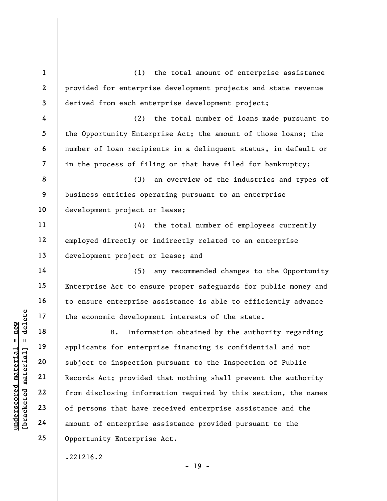underscored material = new [bracketed material] = delete 1 2 3 4 5 6 7 8 9 10 11 12 13 14 15 16 17 18 19 20 21 22 23 24 25 (1) the total amount of enterprise assistance provided for enterprise development projects and state revenue derived from each enterprise development project; (2) the total number of loans made pursuant to the Opportunity Enterprise Act; the amount of those loans; the number of loan recipients in a delinquent status, in default or in the process of filing or that have filed for bankruptcy; (3) an overview of the industries and types of business entities operating pursuant to an enterprise development project or lease; (4) the total number of employees currently employed directly or indirectly related to an enterprise development project or lease; and (5) any recommended changes to the Opportunity Enterprise Act to ensure proper safeguards for public money and to ensure enterprise assistance is able to efficiently advance the economic development interests of the state. B. Information obtained by the authority regarding applicants for enterprise financing is confidential and not subject to inspection pursuant to the Inspection of Public Records Act; provided that nothing shall prevent the authority from disclosing information required by this section, the names of persons that have received enterprise assistance and the amount of enterprise assistance provided pursuant to the Opportunity Enterprise Act.

.221216.2

 $- 19 -$